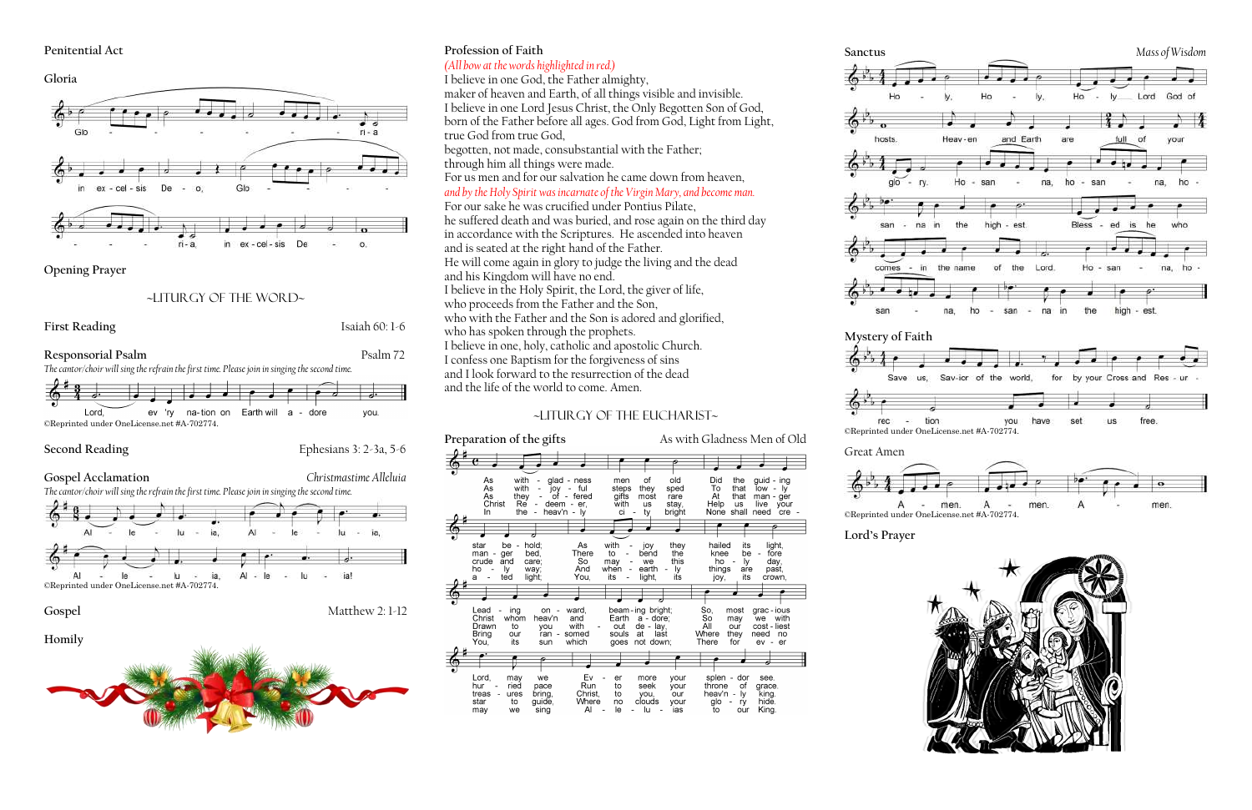#### **Penitential Act**

**Gloria**



**Opening Prayer**

## ~liturgy of the word~



# **Profession of Faith**

# *(All bow at the words highlighted in red.)*

I believe in one God, the Father almighty,

maker of heaven and Earth, of all things visible and invisible. I believe in one Lord Jesus Christ, the Only Begotten Son of God, born of the Father before all ages. God from God, Light from Light, true God from true God,

begotten, not made, consubstantial with the Father; through him all things were made.

For us men and for our salvation he came down from heaven,

tion you ©Reprinted under OneLicense.net #A-702774.





*and by the Holy Spirit was incarnate of the Virgin Mary, and become man.*  For our sake he was crucified under Pontius Pilate, he suffered death and was buried, and rose again on the third day in accordance with the Scriptures. He ascended into heaven and is seated at the right hand of the Father. He will come again in glory to judge the living and the dead and his Kingdom will have no end. I believe in the Holy Spirit, the Lord, the giver of life, who proceeds from the Father and the Son, who with the Father and the Son is adored and glorified, who has spoken through the prophets. I believe in one, holy, catholic and apostolic Church. I confess one Baptism for the forgiveness of sins and I look forward to the resurrection of the dead and the life of the world to come. Amen.

# ~Liturgy of the Eucharist~

## **Preparation of the gifts** As with Gladness Men of Old

Did<br>To<br>At<br>Help<br>None with of old the As alad - ness men guid - ing As<br>As<br>Christ with steps they sped that  $\frac{1}{2}$  low - ly yoj<br>df ful gifts<br>with  $\overline{\mathsf{that}}$ they<br>Re fered most rare man - ger  $\frac{1}{1}$  us stay,<br>bright deem  $-$  er, **us** live your  $\ln$ the - heav'n – Iv ci shall need cre light,<br>fore star hold; As with hailed its be joy<br>bend they man - ger<br>crude and bed, There to the knee be So<br>And iere<br>day<br>past, care; this  $ho$ may we ly are ho when earth things -ly way; ly. ted light You, its light, joy, its crown. So,<br>So<br>All<br><u>W</u>here beam-ing bright; Lead on ward most grac - ious ina Christ whom heav'n and Earth a - dore; may with we Drawn - lay,<br>last our cost - liest to with out de<br>at you **Bring** our ran somed souls they need no You, its which goes not down There for sun Lord,<br>hur<br>treas may Ev your splen - dor see. we more ool<br>of<br>- ly<br>our pace<br>bring,<br>guide, your<br>our ried Run  $\frac{1}{10}$ seek throne grace. king.<br>
hide. ures Christ. you,<br>clouds heav'n star  $\overline{t}$ Where  $no$ your  $g$ lo we  $\overline{A}$ King. may sing lu ์ ias











## **Lord's Prayer**